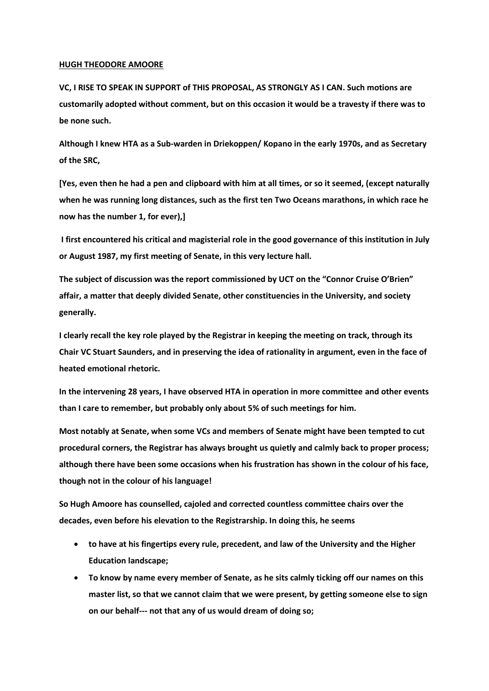## **HUGH THEODORE AMOORE**

**VC, I RISE TO SPEAK IN SUPPORT of THIS PROPOSAL, AS STRONGLY AS I CAN. Such motions are customarily adopted without comment, but on this occasion it would be a travesty if there was to be none such.**

**Although I knew HTA as a Sub-warden in Driekoppen/ Kopano in the early 1970s, and as Secretary of the SRC,** 

**[Yes, even then he had a pen and clipboard with him at all times, or so it seemed, (except naturally when he was running long distances, such as the first ten Two Oceans marathons, in which race he now has the number 1, for ever),]**

**I first encountered his critical and magisterial role in the good governance of this institution in July or August 1987, my first meeting of Senate, in this very lecture hall.**

**The subject of discussion was the report commissioned by UCT on the "Connor Cruise O'Brien" affair, a matter that deeply divided Senate, other constituencies in the University, and society generally.**

**I clearly recall the key role played by the Registrar in keeping the meeting on track, through its Chair VC Stuart Saunders, and in preserving the idea of rationality in argument, even in the face of heated emotional rhetoric.**

**In the intervening 28 years, I have observed HTA in operation in more committee and other events than I care to remember, but probably only about 5% of such meetings for him.** 

**Most notably at Senate, when some VCs and members of Senate might have been tempted to cut procedural corners, the Registrar has always brought us quietly and calmly back to proper process; although there have been some occasions when his frustration has shown in the colour of his face, though not in the colour of his language!**

**So Hugh Amoore has counselled, cajoled and corrected countless committee chairs over the decades, even before his elevation to the Registrarship. In doing this, he seems** 

- **to have at his fingertips every rule, precedent, and law of the University and the Higher Education landscape;**
- **To know by name every member of Senate, as he sits calmly ticking off our names on this master list, so that we cannot claim that we were present, by getting someone else to sign on our behalf--- not that any of us would dream of doing so;**